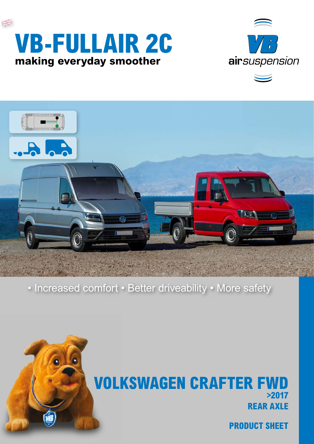





• Increased comfort • Better driveability • More safety



**PRODUCT SHEET**